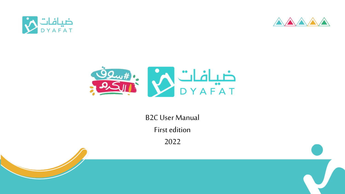





B2C User Manual

First edition

2022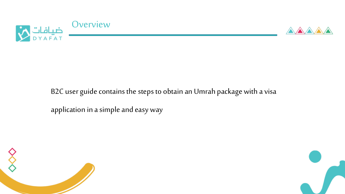



## B2C user guide contains the steps to obtain an Umrah package with a visa

application in a simple and easy way



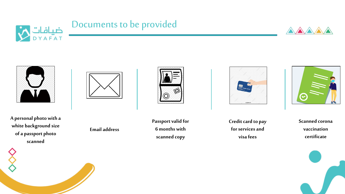

# Documents to be provided





**A personal photo with a white background size of a passport photo scanned**



**Email address**



**Passport valid for 6 months with scanned copy**



**Credit card to pay for services and visa fees**



**Scanned corona vaccination certificate**

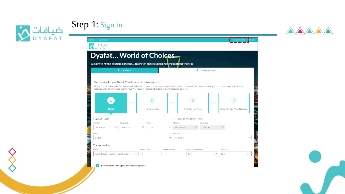







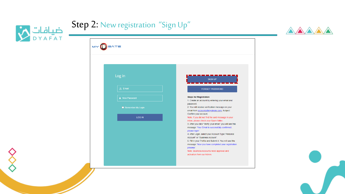





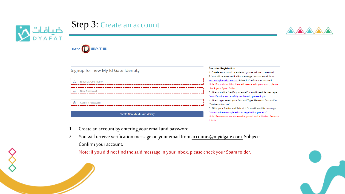| ضيافات <mark>)</mark><br>DYAFAT | <b>Step 3: Create an account</b>   |                                                                                                                                                                                                    |  |
|---------------------------------|------------------------------------|----------------------------------------------------------------------------------------------------------------------------------------------------------------------------------------------------|--|
|                                 | MY DEATE                           |                                                                                                                                                                                                    |  |
|                                 | Signup for new My Id Gate Identity | <b>Steps for Registration</b><br>1. Create an account by entering your email and password.<br>2. You will receive verification message on your email from                                          |  |
|                                 | $\Omega$ Email as User name        | accounts@myidgate.com. Subject: Confirm your account.<br>Note: if you did not find the said message in your inbox, please                                                                          |  |
|                                 | க<br>New Password                  | check your Spam folder.<br>3. After you click "Verify your email" you will see this message<br>"Your Email is successfully confirmed please login".                                                |  |
|                                 | A<br><b>Confirm Password</b>       | 4. After Login, select your Account Type "Personal Account" or<br>"Business Account".                                                                                                              |  |
|                                 | Create New My Id Gate Identity     | 5. Fill in your Profile and Submit it. You will see this message<br>"Now you have completed your registration process".<br>Note: Business Accounts need approval and activation from our<br>Admin. |  |

- 1. Create an account by entering your email and password.
- 2. You will receive verification message on your email from **accounts@myidgate.com**. Subject: Confirm your account.

Note: if you did not find the said message in your inbox, please check your Spam folder.

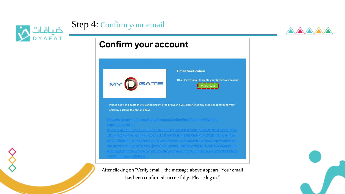

# Step 4: Confirm your email

## **Confirm your account**



xtDZlg9iZXqwNlsn275PK%252fwxtxdOePhMdkMrERBJtfqNPvj%252fDNkH8vHl1qbJ

After clicking on "Verify email", the message above appears "Your email has been confirmed successfully.. Please log in."



**A**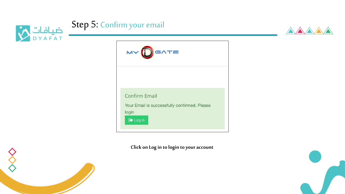





**Click on Log in to login to your account**



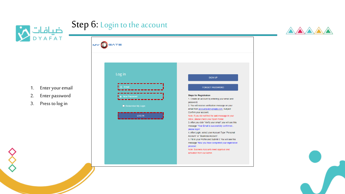







- 1. Enter your email
- 2. Enter password
- 3. Press to log in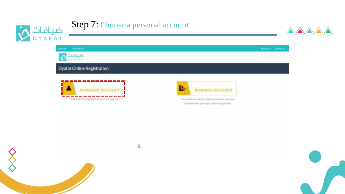

# Step 7: Choose a personal account



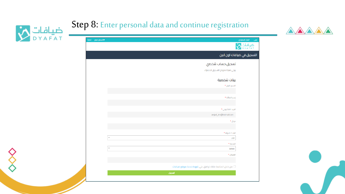

# Step 8: Enter personal data and continue registration

| ضیا <i>ف</i> ات<br>DYA <sup>=</sup> A T<br>$\infty$ | اخبارنا<br>♦٦ تسجيل خروج                                     |
|-----------------------------------------------------|--------------------------------------------------------------|
|                                                     | لتسجيل في ضيافات اون <mark>لاي</mark> ن                      |
|                                                     | تسجيل حساب شخصي                                              |
|                                                     | يرجى تعبئة نموذج التسجيل للاشتراك                            |
|                                                     | بينات شخصية                                                  |
|                                                     | الأسم الأول *                                                |
|                                                     | إسم العائلة *                                                |
|                                                     |                                                              |
|                                                     | الرزيد الالكتروني *                                          |
|                                                     | amjad_km@hotmail.com                                         |
|                                                     | جوال *                                                       |
|                                                     | البلد / الدولة *                                             |
|                                                     | $\overline{\mathbf{v}}$<br>اختر                              |
|                                                     | المدينة *<br>$\overline{\mathbf{v}}$<br>Select               |
|                                                     | العنوان *                                                    |
|                                                     |                                                              |
|                                                     | من خلال المتابعة فانك توافق علي شروط خدمة موقع ضيافات $\Box$ |
|                                                     | تسجيل                                                        |

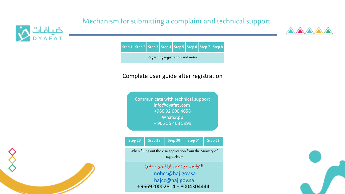### Mechanism for submitting a complaint and technical support





**Step 1 Step 2 Step 3 Step 4 Step 5 Step 6 Step 7 Step 8**

Regarding registration and notes

### Complete user guide after registration

Communicate with technical support info@dyafat .com +966 92 000 4658 WhatsApp + 966 55 468 5999